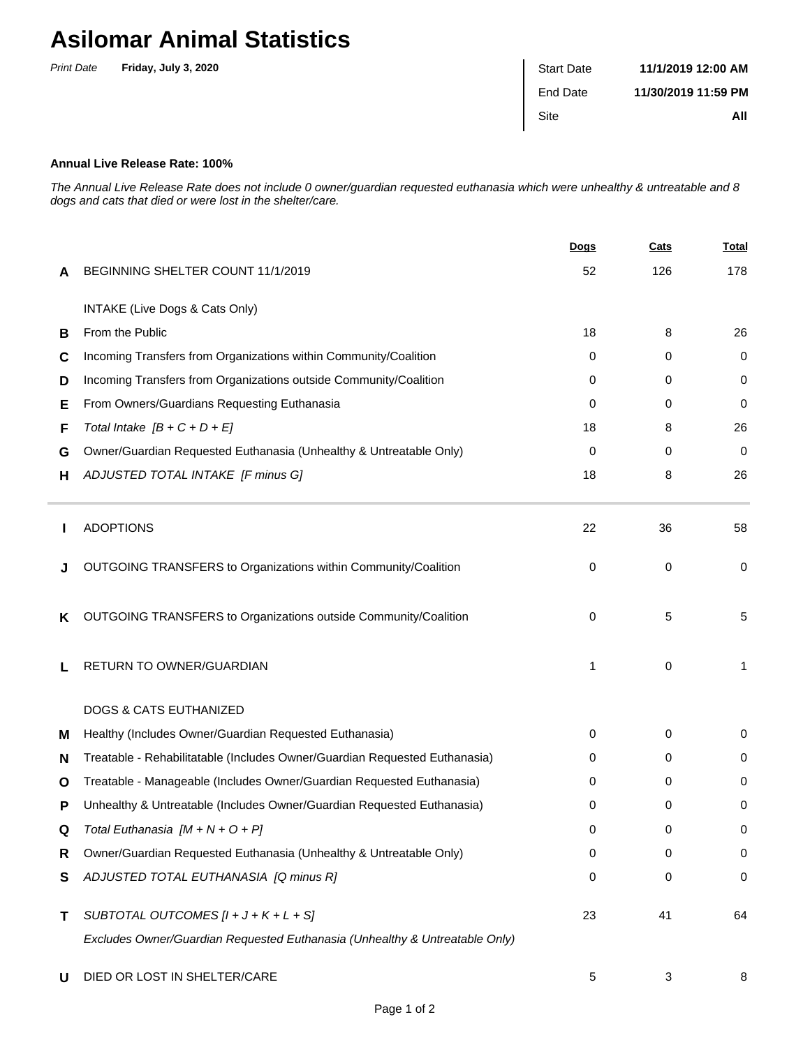## **Asilomar Animal Statistics**

| <b>Print Date</b> | Friday, July 3, 2020 | <b>Start Date</b> | 11/1/2019 12:00 AM  |
|-------------------|----------------------|-------------------|---------------------|
|                   |                      | End Date          | 11/30/2019 11:59 PM |
|                   |                      | Site              | All                 |

## **Annual Live Release Rate: 100%**

The Annual Live Release Rate does not include 0 owner/guardian requested euthanasia which were unhealthy & untreatable and 8 dogs and cats that died or were lost in the shelter/care.

|   |                                                                             | <b>Dogs</b> | <b>Cats</b> | <u>Total</u> |
|---|-----------------------------------------------------------------------------|-------------|-------------|--------------|
| A | BEGINNING SHELTER COUNT 11/1/2019                                           | 52          | 126         | 178          |
|   | INTAKE (Live Dogs & Cats Only)                                              |             |             |              |
| В | From the Public                                                             | 18          | 8           | 26           |
| C | Incoming Transfers from Organizations within Community/Coalition            | 0           | 0           | 0            |
| D | Incoming Transfers from Organizations outside Community/Coalition           | $\Omega$    | 0           | 0            |
| Е | From Owners/Guardians Requesting Euthanasia                                 | $\Omega$    | 0           | 0            |
| F | Total Intake $[B + C + D + E]$                                              | 18          | 8           | 26           |
| G | Owner/Guardian Requested Euthanasia (Unhealthy & Untreatable Only)          | 0           | 0           | 0            |
| н | ADJUSTED TOTAL INTAKE [F minus G]                                           | 18          | 8           | 26           |
|   | <b>ADOPTIONS</b>                                                            | 22          | 36          | 58           |
|   | OUTGOING TRANSFERS to Organizations within Community/Coalition              | 0           | 0           | 0            |
| ĸ | OUTGOING TRANSFERS to Organizations outside Community/Coalition             | 0           | 5           | 5            |
| L | RETURN TO OWNER/GUARDIAN                                                    | 1           | 0           | 1            |
|   | DOGS & CATS EUTHANIZED                                                      |             |             |              |
| м | Healthy (Includes Owner/Guardian Requested Euthanasia)                      | 0           | 0           | 0            |
| N | Treatable - Rehabilitatable (Includes Owner/Guardian Requested Euthanasia)  | 0           | 0           | 0            |
| O | Treatable - Manageable (Includes Owner/Guardian Requested Euthanasia)       | 0           | 0           | 0            |
| Р | Unhealthy & Untreatable (Includes Owner/Guardian Requested Euthanasia)      | 0           | 0           | 0            |
|   | Total Euthanasia [M + N + O + P]                                            | 0           | 0           | 0            |
| R | Owner/Guardian Requested Euthanasia (Unhealthy & Untreatable Only)          | 0           | 0           | 0            |
| S | ADJUSTED TOTAL EUTHANASIA [Q minus R]                                       | 0           | 0           | 0            |
| Τ | SUBTOTAL OUTCOMES $[l + J + K + L + S]$                                     | 23          | 41          | 64           |
|   | Excludes Owner/Guardian Requested Euthanasia (Unhealthy & Untreatable Only) |             |             |              |
| U | DIED OR LOST IN SHELTER/CARE                                                | 5           | 3           | 8            |